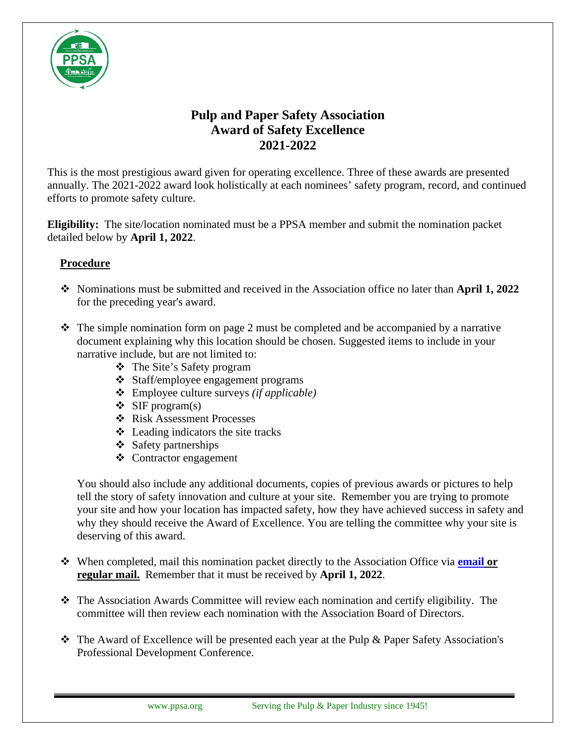

## **Pulp and Paper Safety Association Award of Safety Excellence 2021-2022**

This is the most prestigious award given for operating excellence. Three of these awards are presented annually. The 2021-2022 award look holistically at each nominees' safety program, record, and continued efforts to promote safety culture.

**Eligibility:** The site/location nominated must be a PPSA member and submit the nomination packet detailed below by **April 1, 2022**.

## **Procedure**

- Nominations must be submitted and received in the Association office no later than **April 1, 2022** for the preceding year's award.
- $\cdot \cdot$  The simple nomination form on page 2 must be completed and be accompanied by a narrative document explaining why this location should be chosen. Suggested items to include in your narrative include, but are not limited to:
	- The Site's Safety program
	- Staff/employee engagement programs
	- Employee culture surveys *(if applicable)*
	- $\div$  SIF program(s)
	- Risk Assessment Processes
	- $\triangleleft$  Leading indicators the site tracks
	- $\div$  Safety partnerships
	- Contractor engagement

You should also include any additional documents, copies of previous awards or pictures to help tell the story of safety innovation and culture at your site. Remember you are trying to promote your site and how your location has impacted safety, how they have achieved success in safety and why they should receive the Award of Excellence. You are telling the committee why your site is deserving of this award.

- When completed, mail this nomination packet directly to the Association Office via **[email](mailto:eragauskas@ppsa.org) or regular mail.** Remember that it must be received by **April 1, 2022**.
- $\hat{\mathbf{v}}$  The Association Awards Committee will review each nomination and certify eligibility. The committee will then review each nomination with the Association Board of Directors.
- The Award of Excellence will be presented each year at the Pulp & Paper Safety Association's Professional Development Conference.